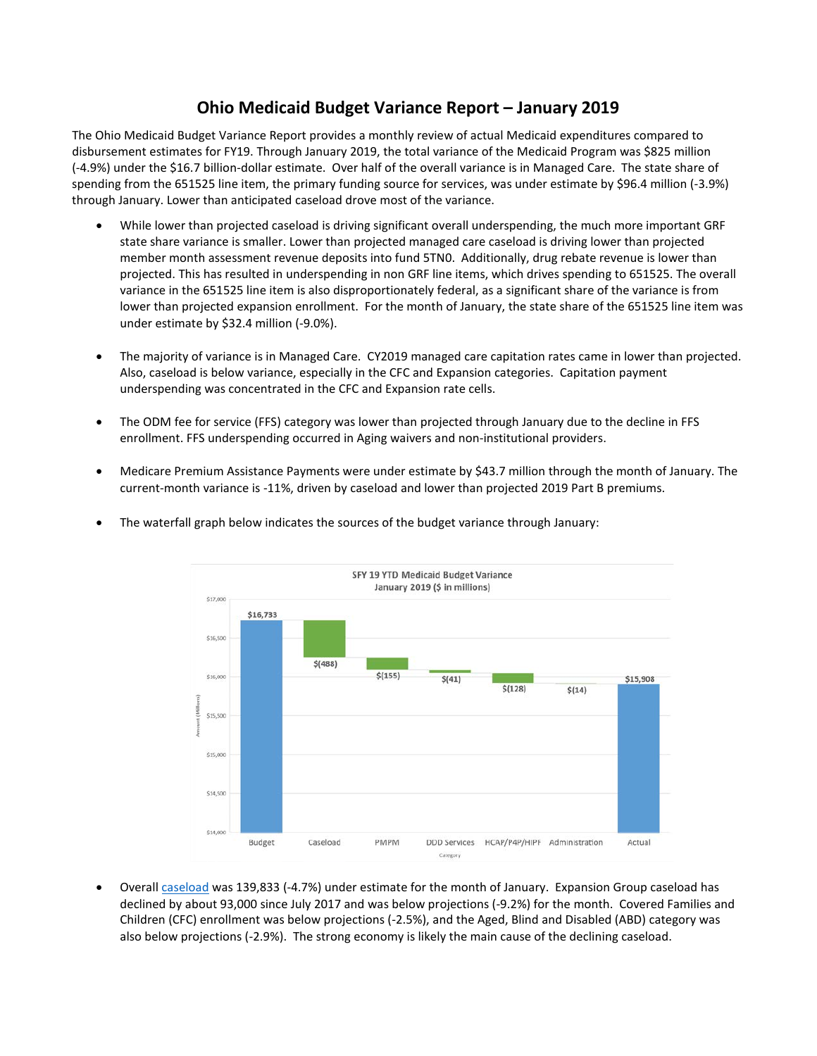## **Ohio Medicaid Budget Variance Report – January 2019**

The Ohio Medicaid Budget Variance Report provides a monthly review of actual Medicaid expenditures compared to disbursement estimates for FY19. Through January 2019, the total variance of the Medicaid Program was \$825 million (-4.9%) under the \$16.7 billion-dollar estimate. Over half of the overall variance is in Managed Care. The state share of spending from the 651525 line item, the primary funding source for services, was under estimate by \$96.4 million (-3.9%) through January. Lower than anticipated caseload drove most of the variance.

- While lower than projected caseload is driving significant overall underspending, the much more important GRF state share variance is smaller. Lower than projected managed care caseload is driving lower than projected member month assessment revenue deposits into fund 5TN0. Additionally, drug rebate revenue is lower than projected. This has resulted in underspending in non GRF line items, which drives spending to 651525. The overall variance in the 651525 line item is also disproportionately federal, as a significant share of the variance is from lower than projected expansion enrollment. For the month of January, the state share of the 651525 line item was under estimate by \$32.4 million (-9.0%).
- The majority of variance is in Managed Care. CY2019 managed care capitation rates came in lower than projected. Also, caseload is below variance, especially in the CFC and Expansion categories. Capitation payment underspending was concentrated in the CFC and Expansion rate cells.
- The ODM fee for service (FFS) category was lower than projected through January due to the decline in FFS enrollment. FFS underspending occurred in Aging waivers and non-institutional providers.
- Medicare Premium Assistance Payments were under estimate by \$43.7 million through the month of January. The current-month variance is -11%, driven by caseload and lower than projected 2019 Part B premiums.



• The waterfall graph below indicates the sources of the budget variance through January:

• Overall [caseload](http://medicaid.ohio.gov/RESOURCES/ReportsandResearch/CaseloadReports.aspx) was 139,833 (-4.7%) under estimate for the month of January. Expansion Group caseload has declined by about 93,000 since July 2017 and was below projections (-9.2%) for the month. Covered Families and Children (CFC) enrollment was below projections (-2.5%), and the Aged, Blind and Disabled (ABD) category was also below projections (-2.9%). The strong economy is likely the main cause of the declining caseload.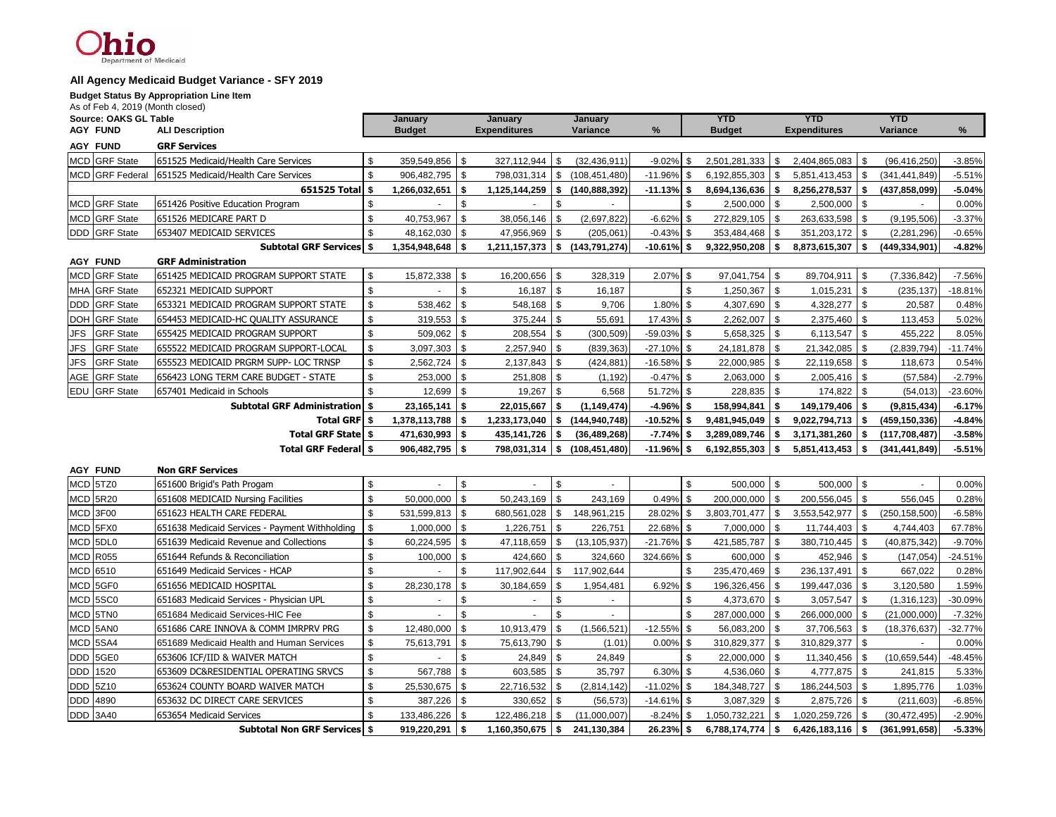### $10$ of Medicaid

#### **All Agency Medicaid Budget Variance - SFY 2019**

**Budget Status By Appropriation Line Item**

| As of Feb 4, 2019 (Month closed) |                                                |              |               |            |                     |          |                 |               |            |               |            |                     |                          |                 |           |
|----------------------------------|------------------------------------------------|--------------|---------------|------------|---------------------|----------|-----------------|---------------|------------|---------------|------------|---------------------|--------------------------|-----------------|-----------|
| Source: OAKS GL Table            |                                                | January      |               |            | January             |          | January         |               | <b>YTD</b> |               | <b>YTD</b> |                     |                          | <b>YTD</b>      |           |
| <b>AGY FUND</b>                  | <b>ALI Description</b>                         |              | <b>Budget</b> |            | <b>Expenditures</b> |          | Variance        | %             |            | <b>Budget</b> |            | <b>Expenditures</b> |                          | Variance        | %         |
| <b>AGY FUND</b>                  | <b>GRF Services</b>                            |              |               |            |                     |          |                 |               |            |               |            |                     |                          |                 |           |
| <b>MCD</b> GRF State             | 651525 Medicaid/Health Care Services           | \$           | 359,549,856   | \$         | 327,112,944         | \$       | (32, 436, 911)  | $-9.02\%$ \$  |            | 2,501,281,333 | \$         | 2,404,865,083       | $\overline{\phantom{a}}$ | (96, 416, 250)  | $-3.85%$  |
| MCD GRF Federal                  | 651525 Medicaid/Health Care Services           | \$           | 906,482,795   | l \$       | 798,031,314         | <b>S</b> | (108, 451, 480) | $-11.96\%$ \$ |            | 6,192,855,303 | \$         | 5,851,413,453       | - \$                     | (341, 441, 849) | $-5.51%$  |
|                                  | 651525 Total                                   | \$           | 1,266,032,651 | -\$        | 1,125,144,259       | \$       | (140, 888, 392) | $-11.13\%$ \$ |            | 8,694,136,636 | \$         | 8,256,278,537       | - 5                      | (437,858,099)   | $-5.04%$  |
| <b>MCD</b> GRF State             | 651426 Positive Education Program              | \$           |               | \$         |                     | \$       |                 |               | \$         | 2,500,000     | -\$        | 2,500,000           | - \$                     |                 | 0.00%     |
| MCD GRF State                    | 651526 MEDICARE PART D                         | \$           | 40,753,967    | \$         | 38,056,146          | \$       | (2,697,822)     | $-6.62\%$ \$  |            | 272,829,105   | -\$        | 263,633,598         | - \$                     | (9, 195, 506)   | $-3.37%$  |
| <b>DDD</b> GRF State             | 653407 MEDICAID SERVICES                       | \$           | 48,162,030    | \$         | 47,956,969 \$       |          | (205, 061)      | $-0.43\%$ \$  |            | 353,484,468   | -\$        | 351,203,172         | - \$                     | (2,281,296)     | $-0.65%$  |
|                                  | <b>Subtotal GRF Services \$</b>                |              | 1,354,948,648 | -\$        | 1,211,157,373       | s.       | (143, 791, 274) | $-10.61\%$ \$ |            | 9,322,950,208 | \$         | 8,873,615,307       | - \$                     | (449, 334, 901) | $-4.82%$  |
| <b>AGY FUND</b>                  | <b>GRF Administration</b>                      |              |               |            |                     |          |                 |               |            |               |            |                     |                          |                 |           |
| MCD GRF State                    | 651425 MEDICAID PROGRAM SUPPORT STATE          | \$           | 15,872,338    | \$         | 16,200,656 \$       |          | 328,319         | $2.07\%$ \$   |            | 97,041,754    | \$         | 89,704,911          | \$                       | (7, 336, 842)   | $-7.56%$  |
| MHA GRF State                    | 652321 MEDICAID SUPPORT                        | $\mathbb{S}$ |               | \$         | 16,187              | \$       | 16,187          |               | \$         | 1,250,367     | \$         | 1,015,231           | \$                       | (235, 137)      | $-18.81%$ |
| <b>DDD</b> GRF State             | 653321 MEDICAID PROGRAM SUPPORT STATE          | \$           | 538,462       | $\sqrt{3}$ | 548,168 \$          |          | 9,706           | $1.80\%$ \$   |            | 4,307,690     | -\$        | 4,328,277           | - \$                     | 20,587          | 0.48%     |
| DOH GRF State                    | 654453 MEDICAID-HC QUALITY ASSURANCE           | \$           | 319,553       | \$         | 375,244             | \$       | 55,691          | 17.43% \$     |            | 2,262,007     | \$         | 2,375,460           | -\$                      | 113,453         | 5.02%     |
| <b>GRF State</b><br><b>JFS</b>   | 655425 MEDICAID PROGRAM SUPPORT                | \$           | 509,062       | \$         | 208,554             | \$       | (300, 509)      | $-59.03\%$ \$ |            | 5,658,325     | \$         | 6,113,547           | \$                       | 455,222         | 8.05%     |
| <b>JFS</b><br><b>GRF</b> State   | 655522 MEDICAID PROGRAM SUPPORT-LOCAL          | \$           | 3,097,303     | $\sqrt{3}$ | $2,257,940$ \$      |          | (839, 363)      | $-27.10\%$ \$ |            | 24, 181, 878  | -\$        | 21,342,085          | - \$                     | (2,839,794)     | $-11.74%$ |
| <b>GRF State</b><br>JFS          | 655523 MEDICAID PRGRM SUPP- LOC TRNSP          | \$           | 2,562,724     | \$         | $2,137,843$ \$      |          | (424, 881)      | $-16.58\%$ \$ |            | 22,000,985    | \$         | 22,119,658          | \$                       | 118,673         | 0.54%     |
| AGE GRF State                    | 656423 LONG TERM CARE BUDGET - STATE           | \$           | 253,000       | \$         | 251,808 \$          |          | (1, 192)        | $-0.47\%$ \$  |            | 2,063,000     | -\$        | 2,005,416           | - \$                     | (57, 584)       | $-2.79%$  |
| <b>EDU</b> GRF State             | 657401 Medicaid in Schools                     | \$           | 12,699        | \$         | 19,267              | \$       | 6,568           | 51.72% \$     |            | 228,835       | \$         | 174,822             | \$                       | (54, 013)       | $-23.60%$ |
|                                  | <b>Subtotal GRF Administration</b>             | -\$          | 23,165,141    | -\$        | 22,015,667          | Ŝ.       | (1, 149, 474)   | $-4.96\%$ \$  |            | 158,994,841   | - \$       | 149,179,406         | - \$                     | (9,815,434)     | $-6.17%$  |
|                                  | <b>Total GRF   \$</b>                          |              | 1,378,113,788 | -\$        | 1,233,173,040       | \$       | (144, 940, 748) | $-10.52\%$ \$ |            | 9,481,945,049 | S.         | 9,022,794,713       | - \$                     | (459, 150, 336) | $-4.84%$  |
|                                  | <b>Total GRF State   \$</b>                    |              | 471,630,993   | -\$        | 435,141,726         | - \$     | (36, 489, 268)  | $-7.74\%$ \$  |            | 3,289,089,746 | \$         | 3,171,381,260       | \$                       | (117,708,487)   | $-3.58%$  |
|                                  | <b>Total GRF Federal \$</b>                    |              | 906,482,795   | l \$       | 798,031,314 \$      |          | (108, 451, 480) | $-11.96\%$ \$ |            | 6,192,855,303 | -\$        | 5,851,413,453       | - \$                     | (341, 441, 849) | $-5.51%$  |
| <b>AGY FUND</b>                  | <b>Non GRF Services</b>                        |              |               |            |                     |          |                 |               |            |               |            |                     |                          |                 |           |
| MCD 5TZ0                         | 651600 Brigid's Path Progam                    | \$           |               | \$         |                     | \$       | $\sim$          |               | \$         | 500,000       | \$         | 500,000             | - \$                     |                 | 0.00%     |
| MCD 5R20                         | 651608 MEDICAID Nursing Facilities             | \$           | 50,000,000    | \$         | 50,243,169          | \$       | 243,169         | $0.49\%$ \$   |            | 200,000,000   | \$         | 200,556,045         | -\$                      | 556,045         | 0.28%     |
| MCD 3F00                         | 651623 HEALTH CARE FEDERAL                     | \$           | 531,599,813   | l \$       | 680,561,028 \$      |          | 148,961,215     | 28.02% \$     |            | 3,803,701,477 | \$         | 3,553,542,977       | \$                       | (250, 158, 500) | $-6.58%$  |
| MCD 5FX0                         | 651638 Medicaid Services - Payment Withholding | \$           | 1,000,000     | $\sqrt{3}$ | $1,226,751$ \$      |          | 226,751         | 22.68% \$     |            | 7,000,000     | \$         | 11,744,403          | \$                       | 4,744,403       | 67.78%    |
| MCD 5DL0                         | 651639 Medicaid Revenue and Collections        | \$           | 60,224,595    | \$         | 47,118,659          | \$       | (13, 105, 937)  | $-21.76\%$ \$ |            | 421,585,787   | \$         | 380,710,445         | \$                       | (40, 875, 342)  | $-9.70%$  |
| <b>MCD R055</b>                  | 651644 Refunds & Reconciliation                | \$           | 100,000       | \$         | 424,660             | -\$      | 324,660         | 324.66% \$    |            | 600,000       | -\$        | 452,946             | - \$                     | (147, 054)      | $-24.51%$ |
| MCD 6510                         | 651649 Medicaid Services - HCAP                | \$           |               | \$         | 117,902,644 \$      |          | 117,902,644     |               | \$         | 235,470,469   | -\$        | 236,137,491         | - \$                     | 667.022         | 0.28%     |
|                                  |                                                |              |               |            |                     |          |                 |               |            |               |            |                     |                          |                 |           |

|                 | <b>Subtotal Non GRF Services   \$</b>     | 919,220,291       |     | 1,160,350,675   \$ | 241,130,384              | $26.23\%$ \$  | $6,788,174,774$   \$ | $6.426.183.116$ S | (361, 991, 658) | $-5.33%$  |
|-----------------|-------------------------------------------|-------------------|-----|--------------------|--------------------------|---------------|----------------------|-------------------|-----------------|-----------|
| DDD 3A40        | 653654 Medicaid Services                  | 133,486,226 \$    |     | 122,486,218 \$     | (11,000,007)             | $-8.24\%$ \$  | 1,050,732,221        | 1,020,259,726 \$  | (30, 472, 495)  | $-2.90%$  |
| DDD 4890        | 653632 DC DIRECT CARE SERVICES            | $387,226$   \$    |     |                    | (56, 573)                | $-14.61\%$ \$ | $3,087,329$ \ \$     | $2,875,726$ \$    | (211, 603)      | $-6.85%$  |
| <b>DDD 5Z10</b> | <b>653624 COUNTY BOARD WAIVER MATCH</b>   | $25,530,675$   \$ |     | 22,716,532 \$      | (2,814,142)              | $-11.02\%$ \$ | 184.348.727 \ \$     | 186.244.503 \$    | 1,895,776       | 1.03%     |
| DDD 1520        | 653609 DC&RESIDENTIAL OPERATING SRVCS     | $567,788$ \ \$    |     | $603,585$ \ \$     | 35,797                   | $6.30\%$ \$   | $4,536,060$ \ \$     | $4,777,875$ \\$   | 241,815         | 5.33%     |
| DDD 5GE0        | 653606 ICF/IID & WAIVER MATCH             |                   |     | 24,849 \$          | 24,849                   |               | 22,000,000 \$        | 11,340,456 \$     | (10,659,544)    | $-48.45%$ |
| MCD 5SA4        | 651689 Medicaid Health and Human Services | 75,613,791        | 1 S | 75,613,790 \$      | (1.01)                   | $0.00\%$ \$   | 310,829,377   \$     | 310,829,377 \$    |                 | 0.00%     |
| MCD 5AN0        | 1651686 CARE INNOVA & COMM IMRPRV PRG     | 12,480,000 \$     |     | $10,913,479$ \$    | (1,566,521)              | $-12.55\%$ \$ | 56,083,200 \$        | $37,706,563$ \ \$ | (18, 376, 637)  | $-32.77%$ |
| MCD 5TN0        | 651684 Medicaid Services-HIC Fee          |                   |     |                    |                          |               | 287,000,000   \$     | 266,000,000   \$  | (21,000,000)    | $-7.32%$  |
| MCD 5SC0        | 651683 Medicaid Services - Physician UPL  |                   |     |                    | $\overline{\phantom{a}}$ |               | 4,373,670 \$         | $3,057,547$ \$    | (1,316,123)     | $-30.09%$ |
| MCD 5GF0        | 651656 MEDICAID HOSPITAL                  | 28,230,178   \$   |     | $30,184,659$ \$    | 1,954,481                | $6.92\%$ \$   | 196,326,456 \$       | 199,447,036   \$  | 3,120,580       | 1.59%     |
| MCD 6510        | 651649 Medicaid Services - HCAP           |                   |     | 117,902,644        | 17,902,644               |               | 235,470,469   \$     | 236,137,491       | 667,022         | 0.28%     |
| MUU RU55        | T651644 Refunds & Reconciliation          | 100,000 \$        |     | $424,000$   \$     | 324,00U                  | $324.66\%$ \$ | $600,000 - 3$        | 452,940 \$        | (PCU, 141       | -24.51%   |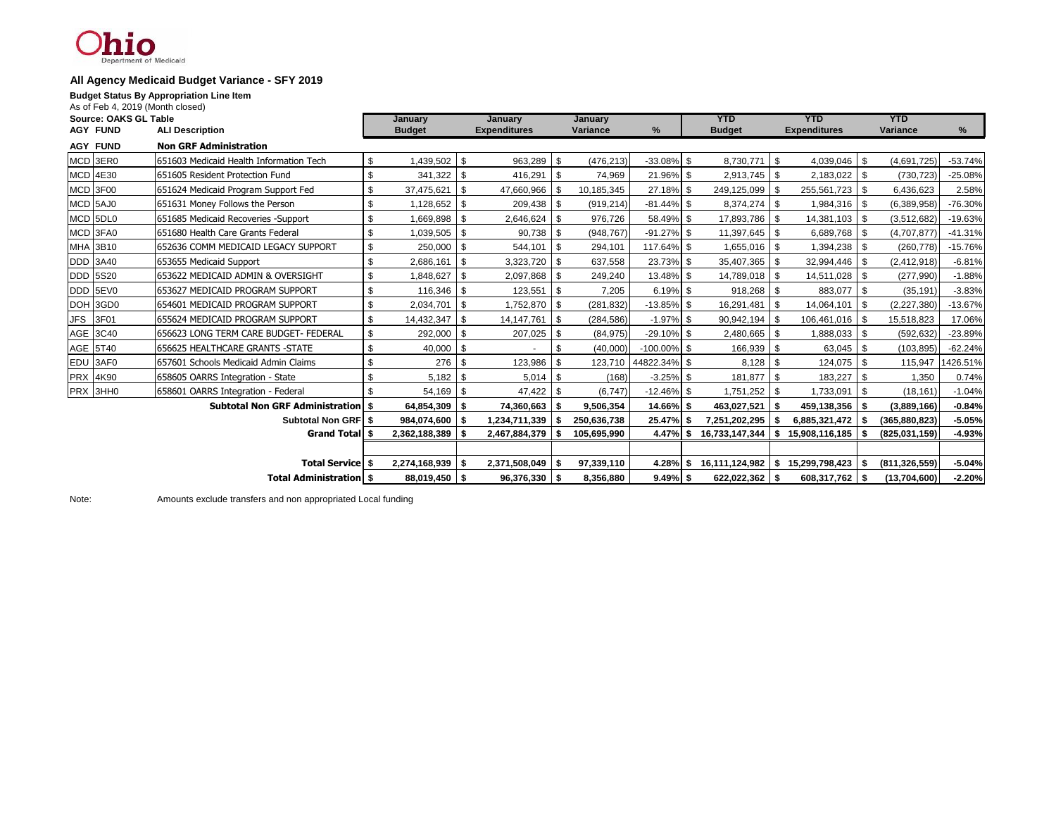### hio t of Medicaid

#### **All Agency Medicaid Budget Variance - SFY 2019**

**Budget Status By Appropriation Line Item**

| As of Feb 4, 2019 (Month closed) |                                             |    |                      |            |                                 |            |             |                      |               |                     |          |                     |            |                 |                  |
|----------------------------------|---------------------------------------------|----|----------------------|------------|---------------------------------|------------|-------------|----------------------|---------------|---------------------|----------|---------------------|------------|-----------------|------------------|
| Source: OAKS GL Table            |                                             |    | January              |            | January                         |            | January     |                      |               | <b>YTD</b>          |          | <b>YTD</b>          |            | <b>YTD</b>      |                  |
| <b>AGY FUND</b>                  | <b>ALI Description</b>                      |    | <b>Budget</b>        |            | <b>Expenditures</b><br>Variance |            | %           |                      | <b>Budget</b> | <b>Expenditures</b> |          | Variance            |            | %               |                  |
| <b>AGY FUND</b>                  | <b>Non GRF Administration</b>               |    |                      |            |                                 |            |             |                      |               |                     |          |                     |            |                 |                  |
| MCD 3ER0                         | 651603 Medicaid Health Information Tech     | S. | 1,439,502 \$         |            | 963,289 \$                      |            | (476, 213)  | $-33.08\%$ \$        |               | 8,730,771           | <b>S</b> | $4,039,046$ \$      |            | (4,691,725)     | $-53.74%$        |
| <b>MCD 4E30</b>                  | 651605 Resident Protection Fund             | \$ | $341,322$ \$         |            | 416,291 \$                      |            | 74,969      | 21.96% \$            |               | $2,913,745$ \$      |          | $2,183,022$ \$      |            | (730, 723)      | $-25.08%$        |
| MCD 3F00                         | 651624 Medicaid Program Support Fed         | \$ | 37,475,621           | l \$       | 47,660,966 \$                   |            | 10,185,345  | 27.18% \$            |               | 249,125,099 \$      |          | 255,561,723 \$      |            | 6,436,623       | 2.58%            |
| MCD 5AJ0                         | 651631 Money Follows the Person             | \$ | $1,128,652$ \$       |            | 209,438 \$                      |            | (919, 214)  | $-81.44\%$ \$        |               | 8,374,274 \$        |          | 1,984,316 \$        |            | (6,389,958)     | $-76.30%$        |
| MCD 5DL0                         | 651685 Medicaid Recoveries -Support         | \$ | 1,669,898 \$         |            | $2,646,624$ \$                  |            | 976,726     | 58.49% \$            |               | 17,893,786 \$       |          | 14,381,103 \$       |            | (3,512,682)     | $-19.63%$        |
| MCD 3FA0                         | 651680 Health Care Grants Federal           | \$ | $1,039,505$ \$       |            | $90,738$ \$                     |            | (948, 767)  | $-91.27\%$ \$        |               | 11,397,645 \$       |          | $6,689,768$ \$      |            | (4,707,877)     | $-41.31%$        |
| MHA 3B10                         | 1652636 COMM MEDICAID LEGACY SUPPORT        | \$ | 250,000 \$           |            | 544,101 \$                      |            | 294,101     | 117.64% \$           |               | $1,655,016$ \$      |          |                     |            | (260, 778)      | $-15.76%$        |
| <b>DDD</b> 3A40                  | 653655 Medicaid Support                     | \$ | 2,686,161            | $\sqrt{3}$ | 3,323,720 \$                    |            | 637,558     | 23.73% \$            |               | 35,407,365 \$       |          | 32,994,446 \$       |            | (2, 412, 918)   | $-6.81%$         |
| <b>DDD 5S20</b>                  | 653622 MEDICAID ADMIN & OVERSIGHT           | \$ | 1,848,627            | l \$       | $2,097,868$ \ \ \$              |            | 249,240     | 13.48% \$            |               | 14,789,018 \$       |          | 14,511,028          | - \$       | (277,990)       | $-1.88%$         |
| DDD 5EV0                         | 653627 MEDICAID PROGRAM SUPPORT             | \$ |                      |            | $123,551$ $\frac{1}{3}$         |            | 7,205       | $6.19%$ \$           |               | $918,268$ \$        |          | 883,077             | l \$       | (35, 191)       | $-3.83%$         |
| DOH 3GD0                         | 654601 MEDICAID PROGRAM SUPPORT             | \$ | 2,034,701            | $\sqrt{3}$ | 1,752,870 \$                    |            | (281, 832)  | $-13.85\%$ \$        |               | 16,291,481          | - \$     | 14,064,101          | \$         | (2,227,380)     | $-13.67%$        |
| <b>JFS</b><br>3F01               | 655624 MEDICAID PROGRAM SUPPORT             | \$ | 14,432,347           | l \$       | 14, 147, 761                    | $\sqrt{3}$ | (284, 586)  | $-1.97\%$ \$         |               | 90,942,194          | - \$     | 106,461,016 \$      |            | 15,518,823      | 17.06%           |
| AGE 3C40                         | 1656623 LONG TERM CARE BUDGET- FEDERAL      | \$ | 292,000              | $\sqrt{s}$ | 207,025 \$                      |            | (84, 975)   | $-29.10\%$ \$        |               | $2,480,665$ \$      |          | $1,888,033$ \ \ \$  |            | (592, 632)      | $-23.89%$        |
| AGE 5T40                         | 656625 HEALTHCARE GRANTS -STATE             | \$ | 40,000 \$            |            |                                 | \$         | (40,000)    | $-100.00\%$ \$       |               | 166,939 \$          |          | 63,045 \$           |            | (103, 895)      | $-62.24%$        |
| EDU 3AF0                         | 657601 Schools Medicaid Admin Claims        | \$ | 276 \$               |            | 123,986 \$                      |            |             | 123,710 44822.34% \$ |               |                     |          | 124,075             | - 96       |                 | 115,947 1426.51% |
| <b>PRX 4K90</b>                  | 658605 OARRS Integration - State            |    |                      |            |                                 |            | (168)       | $-3.25\%$ \$         |               | 181,877             |          | 183,227             | -\$        | 1,350           | 0.74%            |
| PRX 3HH0                         | 658601 OARRS Integration - Federal          | £. | $54,169$ \$          |            | 47,422 \$                       |            | (6, 747)    | $-12.46\%$ \$        |               | 1,751,252 \$        |          | 1,733,091           | $\sqrt{s}$ | (18, 161)       | $-1.04%$         |
|                                  | <b>Subtotal Non GRF Administration   \$</b> |    | 64,854,309 \$        |            | 74,360,663 \$                   |            | 9,506,354   | 14.66% \$            |               | 463,027,521         | - \$     | 459,138,356         | - \$       | (3,889,166)     | $-0.84%$         |
|                                  | <b>Subtotal Non GRFI \$</b>                 |    | 984,074,600 \$       |            | 1,234,711,339 \$                |            | 250,636,738 | 25.47%               | -\$           | 7,251,202,295       | l S      | 6,885,321,472 \$    |            | (365, 880, 823) | $-5.05%$         |
| Grand Total \$                   |                                             |    | $2,362,188,389$   \$ |            | $2,467,884,379$   \$            |            | 105,695,990 | 4.47% \$             |               | 16,733,147,344      | - \$     | 15,908,116,185   \$ |            | (825,031,159)   | $-4.93%$         |
|                                  |                                             |    |                      |            |                                 |            |             |                      |               |                     |          |                     |            |                 |                  |
|                                  | <b>Total Service \$</b>                     |    | 2,274,168,939 \$     |            | 2,371,508,049                   | Ŝ.         | 97,339,110  | 4.28%                | \$            | 16,111,124,982      | l Si     | 15,299,798,423      |            | (811, 326, 559) | $-5.04%$         |
| <b>Total Administration   \$</b> |                                             |    | 88,019,450 \$        |            | $96,376,330$ \$                 |            | 8.356.880   | $9.49\%$ \$          |               | $622,022,362$ \$    |          | 608,317,762 \$      |            | (13,704,600)    | $-2.20%$         |

Note: Amounts exclude transfers and non appropriated Local funding